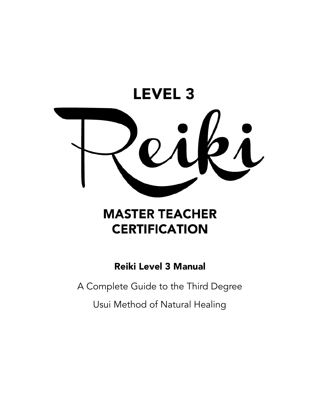

# **MASTER TEACHER CERTIFICATION**

Reiki Level 3 Manual

A Complete Guide to the Third Degree

Usui Method of Natural Healing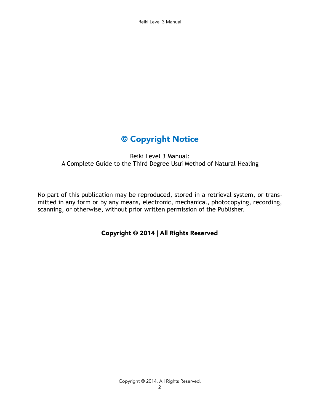Reiki Level 3 Manual

# © Copyright Notice

Reiki Level 3 Manual: A Complete Guide to the Third Degree Usui Method of Natural Healing

No part of this publication may be reproduced, stored in a retrieval system, or transmitted in any form or by any means, electronic, mechanical, photocopying, recording, scanning, or otherwise, without prior written permission of the Publisher.

Copyright © 2014 | All Rights Reserved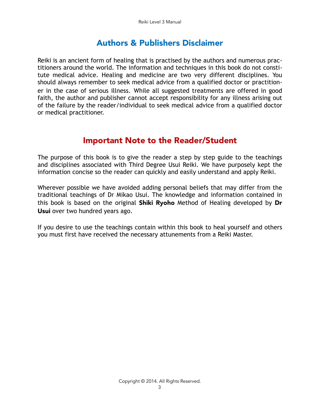## Authors & Publishers Disclaimer

Reiki is an ancient form of healing that is practised by the authors and numerous practitioners around the world. The information and techniques in this book do not constitute medical advice. Healing and medicine are two very different disciplines. You should always remember to seek medical advice from a qualified doctor or practitioner in the case of serious illness. While all suggested treatments are offered in good faith, the author and publisher cannot accept responsibility for any illness arising out of the failure by the reader/individual to seek medical advice from a qualified doctor or medical practitioner.

# Important Note to the Reader/Student

The purpose of this book is to give the reader a step by step guide to the teachings and disciplines associated with Third Degree Usui Reiki. We have purposely kept the information concise so the reader can quickly and easily understand and apply Reiki.

Wherever possible we have avoided adding personal beliefs that may differ from the traditional teachings of Dr Mikao Usui. The knowledge and information contained in this book is based on the original **Shiki Ryoho** Method of Healing developed by **Dr** Usui over two hundred years ago.

If you desire to use the teachings contain within this book to heal yourself and others you must first have received the necessary attunements from a Reiki Master.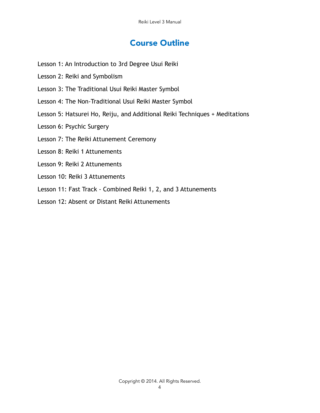# Course Outline

- Lesson 1: An Introduction to 3rd Degree Usui Reiki
- Lesson 2: Reiki and Symbolism
- Lesson 3: The Traditional Usui Reiki Master Symbol
- Lesson 4: The Non-Traditional Usui Reiki Master Symbol
- Lesson 5: Hatsurei Ho, Reiju, and Additional Reiki Techniques + Meditations
- Lesson 6: Psychic Surgery
- Lesson 7: The Reiki Attunement Ceremony
- Lesson 8: Reiki 1 Attunements
- Lesson 9: Reiki 2 Attunements
- Lesson 10: Reiki 3 Attunements
- Lesson 11: Fast Track Combined Reiki 1, 2, and 3 Attunements
- Lesson 12: Absent or Distant Reiki Attunements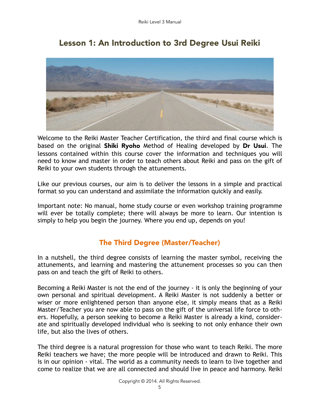

# Lesson 1: An Introduction to 3rd Degree Usui Reiki

Welcome to the Reiki Master Teacher Certification, the third and final course which is based on the original Shiki Ryoho Method of Healing developed by Dr Usui. The lessons contained within this course cover the information and techniques you will need to know and master in order to teach others about Reiki and pass on the gift of Reiki to your own students through the attunements.

Like our previous courses, our aim is to deliver the lessons in a simple and practical format so you can understand and assimilate the information quickly and easily.

Important note: No manual, home study course or even workshop training programme will ever be totally complete; there will always be more to learn. Our intention is simply to help you begin the journey. Where you end up, depends on you!

### The Third Degree (Master/Teacher)

In a nutshell, the third degree consists of learning the master symbol, receiving the attunements, and learning and mastering the attunement processes so you can then pass on and teach the gift of Reiki to others.

Becoming a Reiki Master is not the end of the journey - it is only the beginning of your own personal and spiritual development. A Reiki Master is not suddenly a better or wiser or more enlightened person than anyone else, it simply means that as a Reiki Master/Teacher you are now able to pass on the gift of the universal life force to others. Hopefully, a person seeking to become a Reiki Master is already a kind, considerate and spiritually developed individual who is seeking to not only enhance their own life, but also the lives of others.

The third degree is a natural progression for those who want to teach Reiki. The more Reiki teachers we have; the more people will be introduced and drawn to Reiki. This is in our opinion - vital. The world as a community needs to learn to live together and come to realize that we are all connected and should live in peace and harmony. Reiki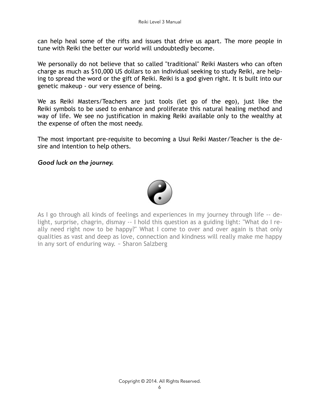can help heal some of the rifts and issues that drive us apart. The more people in tune with Reiki the better our world will undoubtedly become.

We personally do not believe that so called "traditional" Reiki Masters who can often charge as much as \$10,000 US dollars to an individual seeking to study Reiki, are helping to spread the word or the gift of Reiki. Reiki is a god given right. It is built into our genetic makeup - our very essence of being.

We as Reiki Masters/Teachers are just tools (let go of the ego), just like the Reiki symbols to be used to enhance and proliferate this natural healing method and way of life. We see no justification in making Reiki available only to the wealthy at the expense of often the most needy.

The most important pre-requisite to becoming a Usui Reiki Master/Teacher is the desire and intention to help others.

#### *Good luck on the journey.*



As I go through all kinds of feelings and experiences in my journey through life -- delight, surprise, chagrin, dismay -- I hold this question as a guiding light: "What do I really need right now to be happy?" What I come to over and over again is that only qualities as vast and deep as love, connection and kindness will really make me happy in any sort of enduring way. ~ Sharon Salzberg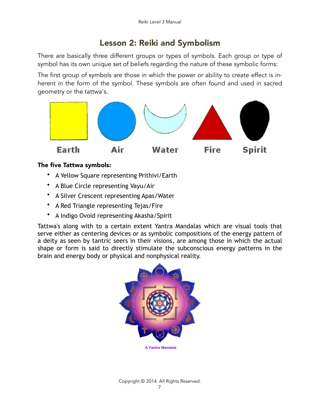# Lesson 2: Reiki and Symbolism

There are basically three different groups or types of symbols. Each group or type of symbol has its own unique set of beliefs regarding the nature of these symbolic forms:

The first group of symbols are those in which the power or ability to create effect is inherent in the form of the symbol. These symbols are often found and used in sacred geometry or the tattwa's.



#### The five Tattwa symbols:

- A Yellow Square representing Prithivi/Earth
- A Blue Circle representing Vayu/Air
- A Silver Crescent representing Apas/Water
- A Red Triangle representing Tejas/Fire
- A Indigo Ovoid representing Akasha/Spirit

Tattwa's along with to a certain extent Yantra Mandalas which are visual tools that serve either as centering devices or as symbolic compositions of the energy pattern of a deity as seen by tantric seers in their visions, are among those in which the actual shape or form is said to directly stimulate the subconscious energy patterns in the brain and energy body or physical and nonphysical reality.

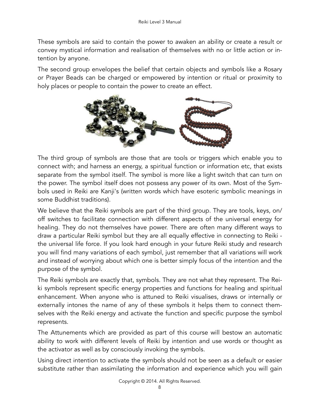These symbols are said to contain the power to awaken an ability or create a result or convey mystical information and realisation of themselves with no or little action or intention by anyone.

The second group envelopes the belief that certain objects and symbols like a Rosary or Prayer Beads can be charged or empowered by intention or ritual or proximity to holy places or people to contain the power to create an effect.



The third group of symbols are those that are tools or triggers which enable you to connect with; and harness an energy, a spiritual function or information etc, that exists separate from the symbol itself. The symbol is more like a light switch that can turn on the power. The symbol itself does not possess any power of its own. Most of the Symbols used in Reiki are Kanji's (written words which have esoteric symbolic meanings in some Buddhist traditions).

We believe that the Reiki symbols are part of the third group. They are tools, keys, on/ off switches to facilitate connection with different aspects of the universal energy for healing. They do not themselves have power. There are often many different ways to draw a particular Reiki symbol but they are all equally effective in connecting to Reiki the universal life force. If you look hard enough in your future Reiki study and research you will find many variations of each symbol, just remember that all variations will work and instead of worrying about which one is better simply focus of the intention and the purpose of the symbol.

The Reiki symbols are exactly that, symbols. They are not what they represent. The Reiki symbols represent specific energy properties and functions for healing and spiritual enhancement. When anyone who is attuned to Reiki visualises, draws or internally or externally intones the name of any of these symbols it helps them to connect themselves with the Reiki energy and activate the function and specific purpose the symbol represents.

The Attunements which are provided as part of this course will bestow an automatic ability to work with different levels of Reiki by intention and use words or thought as the activator as well as by consciously invoking the symbols.

Using direct intention to activate the symbols should not be seen as a default or easier substitute rather than assimilating the information and experience which you will gain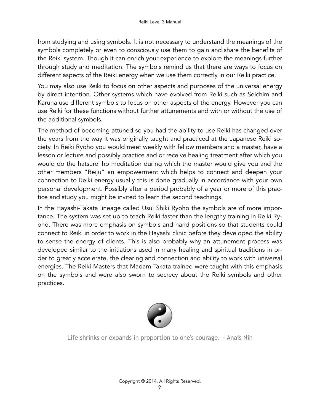from studying and using symbols. It is not necessary to understand the meanings of the symbols completely or even to consciously use them to gain and share the benefits of the Reiki system. Though it can enrich your experience to explore the meanings further through study and meditation. The symbols remind us that there are ways to focus on different aspects of the Reiki energy when we use them correctly in our Reiki practice.

You may also use Reiki to focus on other aspects and purposes of the universal energy by direct intention. Other systems which have evolved from Reiki such as Seichim and Karuna use different symbols to focus on other aspects of the energy. However you can use Reiki for these functions without further attunements and with or without the use of the additional symbols.

The method of becoming attuned so you had the ability to use Reiki has changed over the years from the way it was originally taught and practiced at the Japanese Reiki society. In Reiki Ryoho you would meet weekly with fellow members and a master, have a lesson or lecture and possibly practice and or receive healing treatment after which you would do the hatsurei ho meditation during which the master would give you and the other members "Reiju" an empowerment which helps to connect and deepen your connection to Reiki energy usually this is done gradually in accordance with your own personal development. Possibly after a period probably of a year or more of this practice and study you might be invited to learn the second teachings.

In the Hayashi-Takata lineage called Usui Shiki Ryoho the symbols are of more importance. The system was set up to teach Reiki faster than the lengthy training in Reiki Ryoho. There was more emphasis on symbols and hand positions so that students could connect to Reiki in order to work in the Hayashi clinic before they developed the ability to sense the energy of clients. This is also probably why an attunement process was developed similar to the initiations used in many healing and spiritual traditions in order to greatly accelerate, the clearing and connection and ability to work with universal energies. The Reiki Masters that Madam Takata trained were taught with this emphasis on the symbols and were also sworn to secrecy about the Reiki symbols and other practices.



Life shrinks or expands in proportion to one's courage. ~ Anais Nin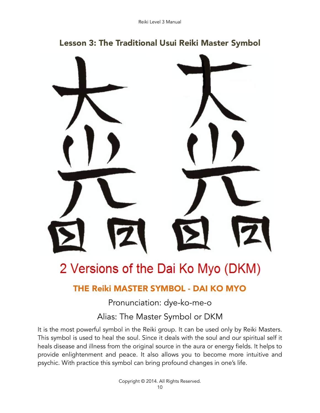

# Lesson 3: The Traditional Usui Reiki Master Symbol

# 2 Versions of the Dai Ko Myo (DKM)

# THE Reiki MASTER SYMBOL - DAI KO MYO

Pronunciation: dye-ko-me-o

# Alias: The Master Symbol or DKM

It is the most powerful symbol in the Reiki group. It can be used only by Reiki Masters. This symbol is used to heal the soul. Since it deals with the soul and our spiritual self it heals disease and illness from the original source in the aura or energy fields. It helps to provide enlightenment and peace. It also allows you to become more intuitive and psychic. With practice this symbol can bring profound changes in one's life.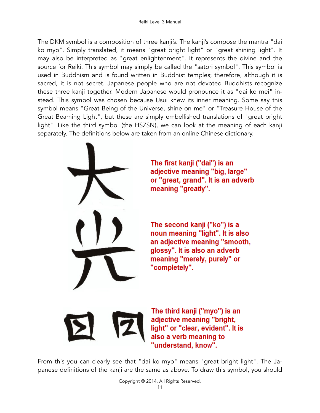The DKM symbol is a composition of three kanji's. The kanji's compose the mantra "dai ko myo". Simply translated, it means "great bright light" or "great shining light". It may also be interpreted as "great enlightenment". It represents the divine and the source for Reiki. This symbol may simply be called the "satori symbol". This symbol is used in Buddhism and is found written in Buddhist temples; therefore, although it is sacred, it is not secret. Japanese people who are not devoted Buddhists recognize these three kanji together. Modern Japanese would pronounce it as "dai ko mei" instead. This symbol was chosen because Usui knew its inner meaning. Some say this symbol means "Great Being of the Universe, shine on me" or "Treasure House of the Great Beaming Light", but these are simply embellished translations of "great bright light". Like the third symbol (the HSZSN), we can look at the meaning of each kanji separately. The definitions below are taken from an online Chinese dictionary.



The first kanji ("dai") is an adjective meaning "big, large" or "great, grand". It is an adverb meaning "greatly".

The second kanji ("ko") is a noun meaning "light". It is also an adjective meaning "smooth, glossy". It is also an adverb meaning "merely, purely" or "completely".

The third kanji ("myo") is an adjective meaning "bright, light" or "clear, evident". It is also a verb meaning to "understand, know".

From this you can clearly see that "dai ko myo" means "great bright light". The Japanese definitions of the kanji are the same as above. To draw this symbol, you should

Copyright © 2014. All Rights Reserved.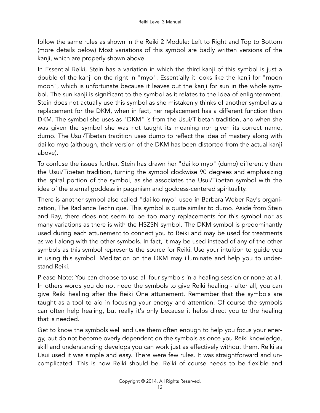follow the same rules as shown in the Reiki 2 Module: Left to Right and Top to Bottom (more details below) Most variations of this symbol are badly written versions of the kanji, which are properly shown above.

In Essential Reiki, Stein has a variation in which the third kanji of this symbol is just a double of the kanji on the right in "myo". Essentially it looks like the kanji for "moon moon", which is unfortunate because it leaves out the kanji for sun in the whole symbol. The sun kanji is significant to the symbol as it relates to the idea of enlightenment. Stein does not actually use this symbol as she mistakenly thinks of another symbol as a replacement for the DKM, when in fact, her replacement has a different function than DKM. The symbol she uses as "DKM" is from the Usui/Tibetan tradition, and when she was given the symbol she was not taught its meaning nor given its correct name, dumo. The Usui/Tibetan tradition uses dumo to reflect the idea of mastery along with dai ko myo (although, their version of the DKM has been distorted from the actual kanji above).

To confuse the issues further, Stein has drawn her "dai ko myo" (dumo) differently than the Usui/Tibetan tradition, turning the symbol clockwise 90 degrees and emphasizing the spiral portion of the symbol, as she associates the Usui/Tibetan symbol with the idea of the eternal goddess in paganism and goddess-centered spirituality.

There is another symbol also called "dai ko myo" used in Barbara Weber Ray's organization, The Radiance Technique. This symbol is quite similar to dumo. Aside from Stein and Ray, there does not seem to be too many replacements for this symbol nor as many variations as there is with the HSZSN symbol. The DKM symbol is predominantly used during each attunement to connect you to Reiki and may be used for treatments as well along with the other symbols. In fact, it may be used instead of any of the other symbols as this symbol represents the source for Reiki. Use your intuition to guide you in using this symbol. Meditation on the DKM may illuminate and help you to understand Reiki.

Please Note: You can choose to use all four symbols in a healing session or none at all. In others words you do not need the symbols to give Reiki healing - after all, you can give Reiki healing after the Reiki One attunement. Remember that the symbols are taught as a tool to aid in focusing your energy and attention. Of course the symbols can often help healing, but really it's only because it helps direct you to the healing that is needed.

Get to know the symbols well and use them often enough to help you focus your energy, but do not become overly dependent on the symbols as once you Reiki knowledge, skill and understanding develops you can work just as effectively without them. Reiki as Usui used it was simple and easy. There were few rules. It was straightforward and uncomplicated. This is how Reiki should be. Reiki of course needs to be flexible and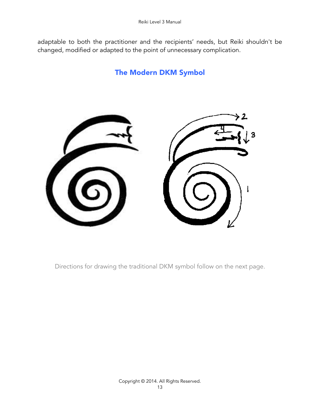adaptable to both the practitioner and the recipients' needs, but Reiki shouldn't be changed, modified or adapted to the point of unnecessary complication.

## The Modern DKM Symbol



Directions for drawing the traditional DKM symbol follow on the next page.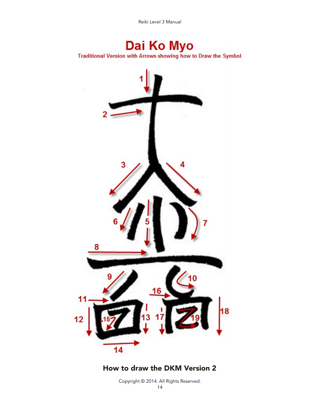

#### How to draw the DKM Version 2

Copyright © 2014. All Rights Reserved.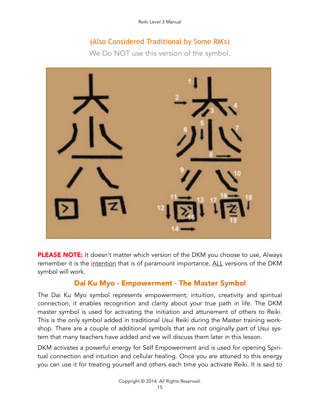## (Also Considered Traditional by Some RM's)

We Do NOT use this version of the symbol.



**PLEASE NOTE:** It doesn't matter which version of the DKM you choose to use, Always remember it is the intention that is of paramount importance, ALL versions of the DKM symbol will work.

## Dai Ku Myo - Empowerment - The Master Symbol

The Dai Ku Myo symbol represents empowerment; intuition, creativity and spiritual connection, it enables recognition and clarity about your true path in life. The DKM master symbol is used for activating the initiation and attunement of others to Reiki. This is the only symbol added in traditional Usui Reiki during the Master training workshop. There are a couple of additional symbols that are not originally part of Usui system that many teachers have added and we will discuss them later in this lesson.

DKM activates a powerful energy for Self Empowerment and is used for opening Spiritual connection and intuition and cellular healing. Once you are attuned to this energy you can use it for treating yourself and others each time you activate Reiki. It is said to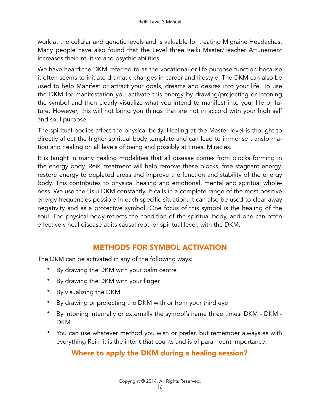work at the cellular and genetic levels and is valuable for treating Migraine Headaches. Many people have also found that the Level three Reiki Master/Teacher Attunement increases their intuitive and psychic abilities.

We have heard the DKM referred to as the vocational or life purpose function because it often seems to initiate dramatic changes in career and lifestyle. The DKM can also be used to help Manifest or attract your goals, dreams and desires into your life. To use the DKM for manifestation you activate this energy by drawing/projecting or intoning the symbol and then clearly visualize what you intend to manifest into your life or future. However, this will not bring you things that are not in accord with your high self and soul purpose.

The spiritual bodies affect the physical body. Healing at the Master level is thought to directly affect the higher spiritual body template and can lead to immense transformation and healing on all levels of being and possibly at times, Miracles.

It is taught in many healing modalities that all disease comes from blocks forming in the energy body. Reiki treatment will help remove these blocks, free stagnant energy, restore energy to depleted areas and improve the function and stability of the energy body. This contributes to physical healing and emotional, mental and spiritual wholeness. We use the Usui DKM constantly. It calls in a complete range of the most positive energy frequencies possible in each specific situation. It can also be used to clear away negativity and as a protective symbol. One focus of this symbol is the healing of the soul. The physical body reflects the condition of the spiritual body, and one can often effectively heal disease at its causal root, or spiritual level, with the DKM.

## METHODS FOR SYMBOL ACTIVATION

The DKM can be activated in any of the following ways:

- By drawing the DKM with your palm centre
- By drawing the DKM with your finger
- By visualizing the DKM
- By drawing or projecting the DKM with or from your third eye
- By intoning internally or externally the symbol's name three times: DKM DKM DKM.
- You can use whatever method you wish or prefer, but remember always as with everything Reiki it is the intent that counts and is of paramount importance.

## Where to apply the DKM during a healing session?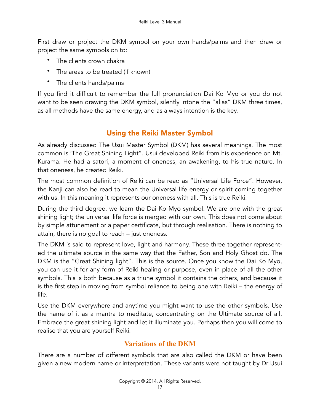First draw or project the DKM symbol on your own hands/palms and then draw or project the same symbols on to:

- The clients crown chakra
- The areas to be treated (if known)
- The clients hands/palms

If you find it difficult to remember the full pronunciation Dai Ko Myo or you do not want to be seen drawing the DKM symbol, silently intone the "alias" DKM three times, as all methods have the same energy, and as always intention is the key.

### Using the Reiki Master Symbol

As already discussed The Usui Master Symbol (DKM) has several meanings. The most common is 'The Great Shining Light". Usui developed Reiki from his experience on Mt. Kurama. He had a satori, a moment of oneness, an awakening, to his true nature. In that oneness, he created Reiki.

The most common definition of Reiki can be read as "Universal Life Force". However, the Kanji can also be read to mean the Universal life energy or spirit coming together with us. In this meaning it represents our oneness with all. This is true Reiki.

During the third degree, we learn the Dai Ko Myo symbol. We are one with the great shining light; the universal life force is merged with our own. This does not come about by simple attunement or a paper certificate, but through realisation. There is nothing to attain, there is no goal to reach – just oneness.

The DKM is said to represent love, light and harmony. These three together represented the ultimate source in the same way that the Father, Son and Holy Ghost do. The DKM is the "Great Shining light". This is the source. Once you know the Dai Ko Myo, you can use it for any form of Reiki healing or purpose, even in place of all the other symbols. This is both because as a triune symbol it contains the others, and because it is the first step in moving from symbol reliance to being one with Reiki – the energy of life.

Use the DKM everywhere and anytime you might want to use the other symbols. Use the name of it as a mantra to meditate, concentrating on the Ultimate source of all. Embrace the great shining light and let it illuminate you. Perhaps then you will come to realise that you are yourself Reiki.

### **Variations of the DKM**

There are a number of different symbols that are also called the DKM or have been given a new modern name or interpretation. These variants were not taught by Dr Usui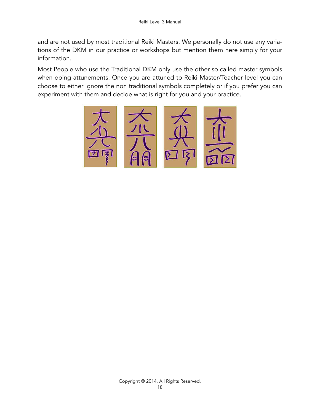and are not used by most traditional Reiki Masters. We personally do not use any variations of the DKM in our practice or workshops but mention them here simply for your information.

Most People who use the Traditional DKM only use the other so called master symbols when doing attunements. Once you are attuned to Reiki Master/Teacher level you can choose to either ignore the non traditional symbols completely or if you prefer you can experiment with them and decide what is right for you and your practice.

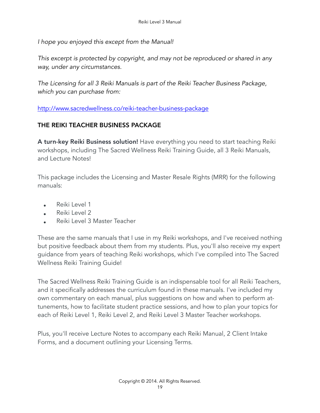*I hope you enjoyed this except from the Manual!* 

*This excerpt is protected by copyright, and may not be reproduced or shared in any way, under any circumstances.* 

*The Licensing for all 3 Reiki Manuals is part of the Reiki Teacher Business Package, which you can purchase from:* 

<http://www.sacredwellness.co/reiki-teacher-business-package>

### THE REIKI TEACHER BUSINESS PACKAGE

A turn-key Reiki Business solution! Have everything you need to start teaching Reiki workshops, including The Sacred Wellness Reiki Training Guide, all 3 Reiki Manuals, and Lecture Notes!

This package includes the Licensing and Master Resale Rights (MRR) for the following manuals:

- Reiki Level 1
- Reiki Level 2
- Reiki Level 3 Master Teacher

These are the same manuals that I use in my Reiki workshops, and I've received nothing but positive feedback about them from my students. Plus, you'll also receive my expert guidance from years of teaching Reiki workshops, which I've compiled into The Sacred Wellness Reiki Training Guide!

The Sacred Wellness Reiki Training Guide is an indispensable tool for all Reiki Teachers, and it specifically addresses the curriculum found in these manuals. I've included my own commentary on each manual, plus suggestions on how and when to perform attunements, how to facilitate student practice sessions, and how to plan your topics for each of Reiki Level 1, Reiki Level 2, and Reiki Level 3 Master Teacher workshops.

Plus, you'll receive Lecture Notes to accompany each Reiki Manual, 2 Client Intake Forms, and a document outlining your Licensing Terms.